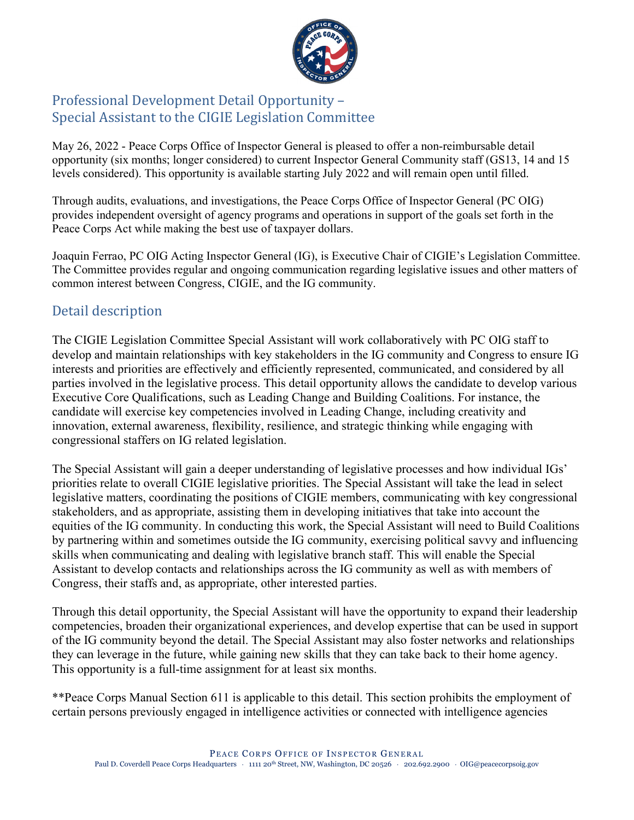

## Professional Development Detail Opportunity – Special Assistant to the CIGIE Legislation Committee

May 26, 2022 - Peace Corps Office of Inspector General is pleased to offer a non-reimbursable detail opportunity (six months; longer considered) to current Inspector General Community staff (GS13, 14 and 15 levels considered). This opportunity is available starting July 2022 and will remain open until filled.

Through audits, evaluations, and investigations, the Peace Corps Office of Inspector General (PC OIG) provides independent oversight of agency programs and operations in support of the goals set forth in the Peace Corps Act while making the best use of taxpayer dollars.

Joaquin Ferrao, PC OIG Acting Inspector General (IG), is Executive Chair of CIGIE's Legislation Committee. The Committee provides regular and ongoing communication regarding legislative issues and other matters of common interest between Congress, CIGIE, and the IG community.

## Detail description

The CIGIE Legislation Committee Special Assistant will work collaboratively with PC OIG staff to develop and maintain relationships with key stakeholders in the IG community and Congress to ensure IG interests and priorities are effectively and efficiently represented, communicated, and considered by all parties involved in the legislative process. This detail opportunity allows the candidate to develop various Executive Core Qualifications, such as Leading Change and Building Coalitions. For instance, the candidate will exercise key competencies involved in Leading Change, including creativity and innovation, external awareness, flexibility, resilience, and strategic thinking while engaging with congressional staffers on IG related legislation.

The Special Assistant will gain a deeper understanding of legislative processes and how individual IGs' priorities relate to overall CIGIE legislative priorities. The Special Assistant will take the lead in select legislative matters, coordinating the positions of CIGIE members, communicating with key congressional stakeholders, and as appropriate, assisting them in developing initiatives that take into account the equities of the IG community. In conducting this work, the Special Assistant will need to Build Coalitions by partnering within and sometimes outside the IG community, exercising political savvy and influencing skills when communicating and dealing with legislative branch staff. This will enable the Special Assistant to develop contacts and relationships across the IG community as well as with members of Congress, their staffs and, as appropriate, other interested parties.

Through this detail opportunity, the Special Assistant will have the opportunity to expand their leadership competencies, broaden their organizational experiences, and develop expertise that can be used in support of the IG community beyond the detail. The Special Assistant may also foster networks and relationships they can leverage in the future, while gaining new skills that they can take back to their home agency. This opportunity is a full-time assignment for at least six months.

\*\*Peace Corps Manual Section 611 is applicable to this detail. This section prohibits the employment of certain persons previously engaged in intelligence activities or connected with intelligence agencies